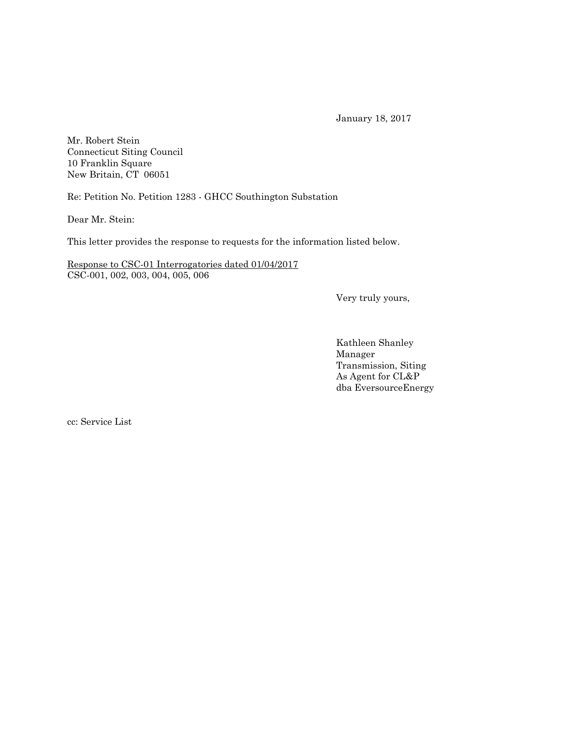January 18, 2017

Mr. Robert Stein Connecticut Siting Council 10 Franklin Square New Britain, CT 06051

Re: Petition No. Petition 1283 - GHCC Southington Substation

Dear Mr. Stein:

This letter provides the response to requests for the information listed below.

Response to CSC-01 Interrogatories dated 01/04/2017 CSC-001, 002, 003, 004, 005, 006

Very truly yours,

Kathleen Shanley Manager Transmission, Siting As Agent for CL&P dba EversourceEnergy

cc: Service List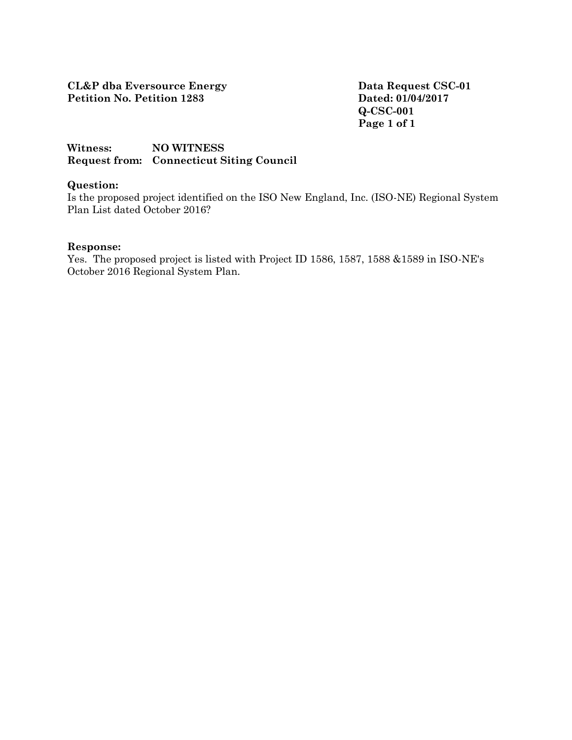**Q-CSC-001 Page 1 of 1**

# **Witness: NO WITNESS Request from: Connecticut Siting Council**

## **Question:**

Is the proposed project identified on the ISO New England, Inc. (ISO-NE) Regional System Plan List dated October 2016?

#### **Response:**

Yes. The proposed project is listed with Project ID 1586, 1587, 1588 &1589 in ISO-NE's October 2016 Regional System Plan.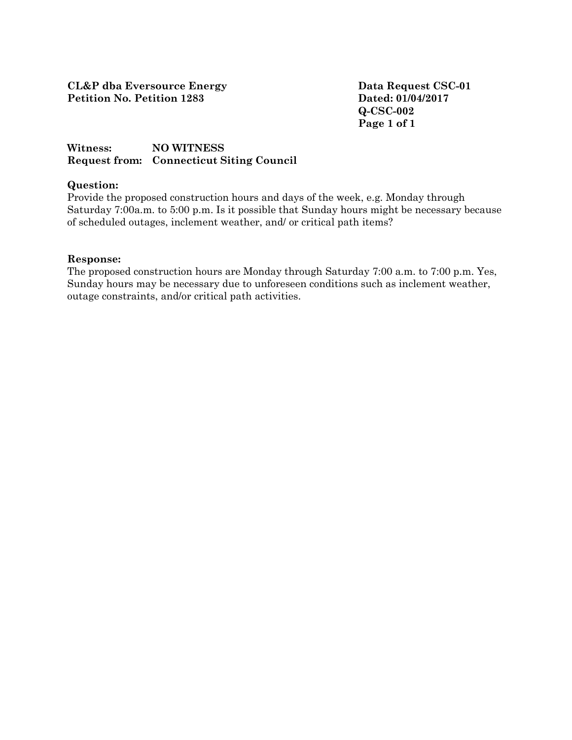**Q-CSC-002 Page 1 of 1**

# **Witness: NO WITNESS Request from: Connecticut Siting Council**

## **Question:**

Provide the proposed construction hours and days of the week, e.g. Monday through Saturday 7:00a.m. to 5:00 p.m. Is it possible that Sunday hours might be necessary because of scheduled outages, inclement weather, and/ or critical path items?

### **Response:**

The proposed construction hours are Monday through Saturday 7:00 a.m. to 7:00 p.m. Yes, Sunday hours may be necessary due to unforeseen conditions such as inclement weather, outage constraints, and/or critical path activities.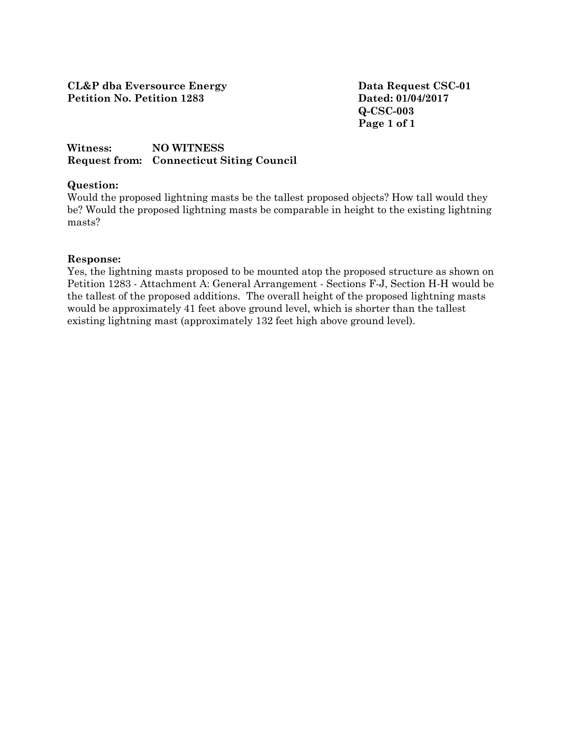**Q-CSC-003 Page 1 of 1**

# **Witness: NO WITNESS Request from: Connecticut Siting Council**

### **Question:**

Would the proposed lightning masts be the tallest proposed objects? How tall would they be? Would the proposed lightning masts be comparable in height to the existing lightning masts?

### **Response:**

Yes, the lightning masts proposed to be mounted atop the proposed structure as shown on Petition 1283 - Attachment A: General Arrangement - Sections F-J, Section H-H would be the tallest of the proposed additions. The overall height of the proposed lightning masts would be approximately 41 feet above ground level, which is shorter than the tallest existing lightning mast (approximately 132 feet high above ground level).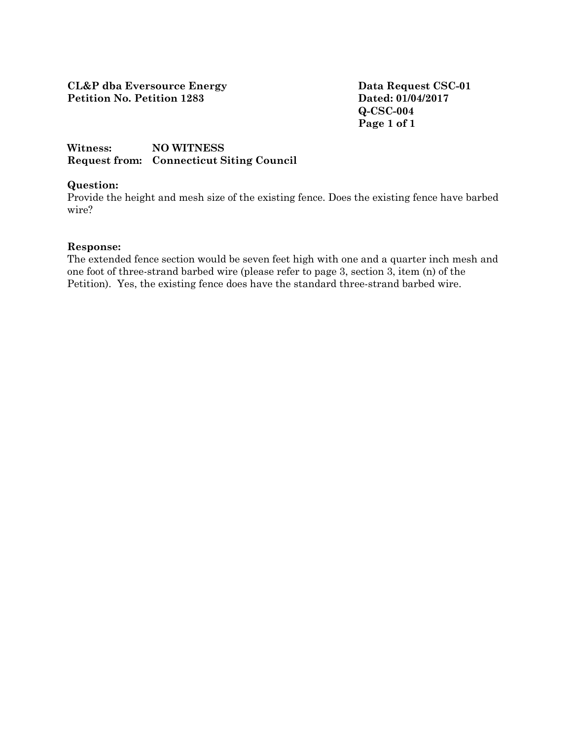**Q-CSC-004 Page 1 of 1**

## **Witness: NO WITNESS Request from: Connecticut Siting Council**

### **Question:**

Provide the height and mesh size of the existing fence. Does the existing fence have barbed wire?

#### **Response:**

The extended fence section would be seven feet high with one and a quarter inch mesh and one foot of three-strand barbed wire (please refer to page 3, section 3, item (n) of the Petition). Yes, the existing fence does have the standard three-strand barbed wire.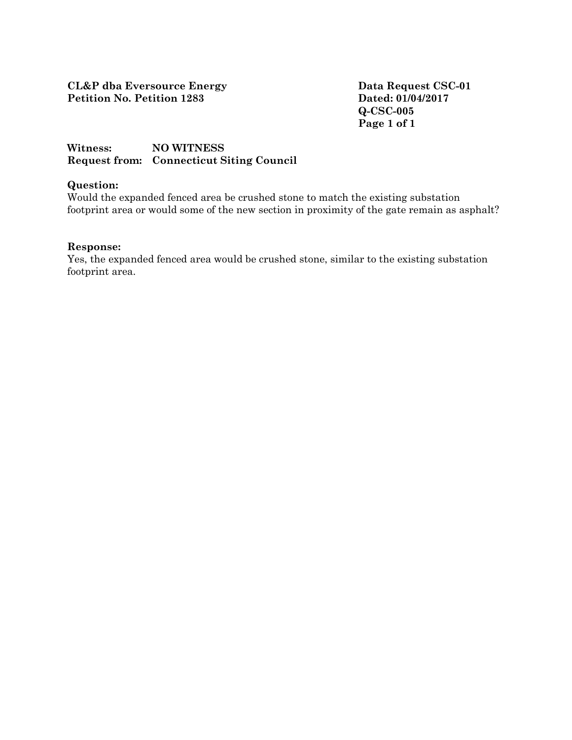**Q-CSC-005 Page 1 of 1**

# **Witness: NO WITNESS Request from: Connecticut Siting Council**

## **Question:**

Would the expanded fenced area be crushed stone to match the existing substation footprint area or would some of the new section in proximity of the gate remain as asphalt?

#### **Response:**

Yes, the expanded fenced area would be crushed stone, similar to the existing substation footprint area.